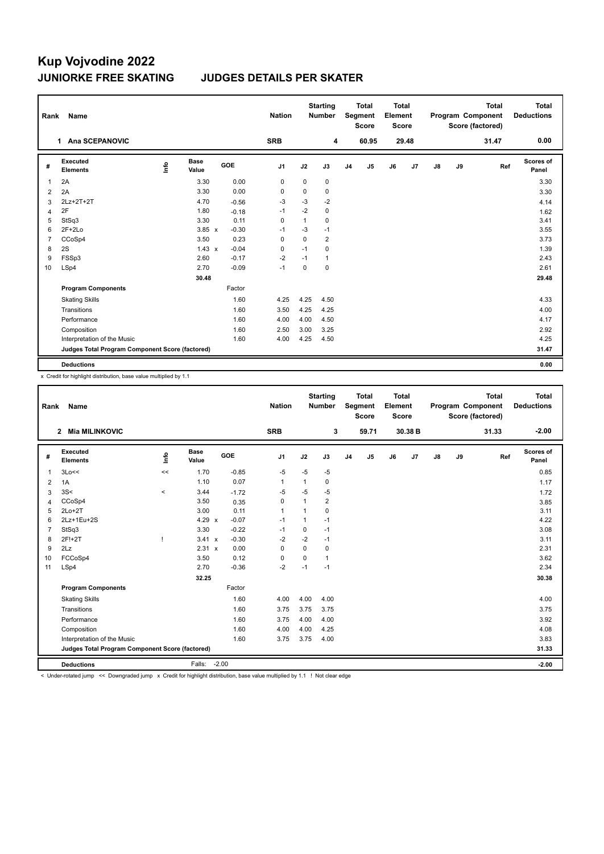## **Kup Vojvodine 2022 JUNIORKE FREE SKATING JUDGES DETAILS PER SKATER**

| Rank           | <b>Name</b>                                     |      |                      |            | <b>Nation</b>  |              | <b>Starting</b><br><b>Number</b> |                | <b>Total</b><br>Segment<br><b>Score</b> | <b>Total</b><br>Element<br><b>Score</b> |                |               |    | <b>Total</b><br>Program Component<br>Score (factored) | <b>Total</b><br><b>Deductions</b> |
|----------------|-------------------------------------------------|------|----------------------|------------|----------------|--------------|----------------------------------|----------------|-----------------------------------------|-----------------------------------------|----------------|---------------|----|-------------------------------------------------------|-----------------------------------|
|                | <b>Ana SCEPANOVIC</b><br>1                      |      |                      |            | <b>SRB</b>     |              | 4                                |                | 60.95                                   |                                         | 29.48          |               |    | 31.47                                                 | 0.00                              |
| #              | Executed<br><b>Elements</b>                     | ١rfo | <b>Base</b><br>Value | <b>GOE</b> | J <sub>1</sub> | J2           | J3                               | J <sub>4</sub> | J5                                      | J6                                      | J <sub>7</sub> | $\mathsf{J}8$ | J9 | Ref                                                   | <b>Scores of</b><br>Panel         |
| $\overline{1}$ | 2A                                              |      | 3.30                 | 0.00       | 0              | $\mathbf 0$  | 0                                |                |                                         |                                         |                |               |    |                                                       | 3.30                              |
| 2              | 2A                                              |      | 3.30                 | 0.00       | 0              | 0            | 0                                |                |                                         |                                         |                |               |    |                                                       | 3.30                              |
| 3              | 2Lz+2T+2T                                       |      | 4.70                 | $-0.56$    | $-3$           | $-3$         | $-2$                             |                |                                         |                                         |                |               |    |                                                       | 4.14                              |
| $\overline{4}$ | 2F                                              |      | 1.80                 | $-0.18$    | $-1$           | $-2$         | 0                                |                |                                         |                                         |                |               |    |                                                       | 1.62                              |
| 5              | StSq3                                           |      | 3.30                 | 0.11       | $\mathbf 0$    | $\mathbf{1}$ | 0                                |                |                                         |                                         |                |               |    |                                                       | 3.41                              |
| 6              | $2F+2Lo$                                        |      | $3.85 \times$        | $-0.30$    | $-1$           | $-3$         | $-1$                             |                |                                         |                                         |                |               |    |                                                       | 3.55                              |
| $\overline{7}$ | CCoSp4                                          |      | 3.50                 | 0.23       | 0              | $\Omega$     | $\overline{2}$                   |                |                                         |                                         |                |               |    |                                                       | 3.73                              |
| 8              | 2S                                              |      | $1.43 \times$        | $-0.04$    | $\mathbf 0$    | $-1$         | 0                                |                |                                         |                                         |                |               |    |                                                       | 1.39                              |
| 9              | FSSp3                                           |      | 2.60                 | $-0.17$    | $-2$           | $-1$         | $\mathbf{1}$                     |                |                                         |                                         |                |               |    |                                                       | 2.43                              |
| 10             | LSp4                                            |      | 2.70                 | $-0.09$    | $-1$           | $\Omega$     | 0                                |                |                                         |                                         |                |               |    |                                                       | 2.61                              |
|                |                                                 |      | 30.48                |            |                |              |                                  |                |                                         |                                         |                |               |    |                                                       | 29.48                             |
|                | <b>Program Components</b>                       |      |                      | Factor     |                |              |                                  |                |                                         |                                         |                |               |    |                                                       |                                   |
|                | <b>Skating Skills</b>                           |      |                      | 1.60       | 4.25           | 4.25         | 4.50                             |                |                                         |                                         |                |               |    |                                                       | 4.33                              |
|                | Transitions                                     |      |                      | 1.60       | 3.50           | 4.25         | 4.25                             |                |                                         |                                         |                |               |    |                                                       | 4.00                              |
|                | Performance                                     |      |                      | 1.60       | 4.00           | 4.00         | 4.50                             |                |                                         |                                         |                |               |    |                                                       | 4.17                              |
|                | Composition                                     |      |                      | 1.60       | 2.50           | 3.00         | 3.25                             |                |                                         |                                         |                |               |    |                                                       | 2.92                              |
|                | Interpretation of the Music                     |      |                      | 1.60       | 4.00           | 4.25         | 4.50                             |                |                                         |                                         |                |               |    |                                                       | 4.25                              |
|                | Judges Total Program Component Score (factored) |      |                      |            |                |              |                                  |                |                                         |                                         |                |               |    |                                                       | 31.47                             |
|                | <b>Deductions</b>                               |      |                      |            |                |              |                                  |                |                                         |                                         |                |               |    |                                                       | 0.00                              |

x Credit for highlight distribution, base value multiplied by 1.1

| Name<br>Rank                                             |                                       |         |                      |         | <b>Nation</b>  |                | <b>Starting</b><br><b>Number</b> | <b>Total</b><br><b>Total</b><br>Element<br>Segment<br><b>Score</b><br><b>Score</b> |       | <b>Total</b><br>Program Component<br>Score (factored) |         |               | <b>Total</b><br><b>Deductions</b> |       |                           |
|----------------------------------------------------------|---------------------------------------|---------|----------------------|---------|----------------|----------------|----------------------------------|------------------------------------------------------------------------------------|-------|-------------------------------------------------------|---------|---------------|-----------------------------------|-------|---------------------------|
|                                                          | <b>Mia MILINKOVIC</b><br>$\mathbf{2}$ |         |                      |         | <b>SRB</b>     |                | 3                                |                                                                                    | 59.71 |                                                       | 30.38 B |               |                                   | 31.33 | $-2.00$                   |
| #                                                        | Executed<br><b>Elements</b>           | ١m      | <b>Base</b><br>Value | GOE     | J <sub>1</sub> | J2             | J3                               | J <sub>4</sub>                                                                     | J5    | J6                                                    | J7      | $\mathsf{J}8$ | J9                                | Ref   | <b>Scores of</b><br>Panel |
| $\mathbf{1}$                                             | 3Lo<<                                 | <<      | 1.70                 | $-0.85$ | $-5$           | $-5$           | $-5$                             |                                                                                    |       |                                                       |         |               |                                   |       | 0.85                      |
| 2                                                        | 1A                                    |         | 1.10                 | 0.07    | $\mathbf{1}$   | 1              | 0                                |                                                                                    |       |                                                       |         |               |                                   |       | 1.17                      |
| 3                                                        | 3S<                                   | $\prec$ | 3.44                 | $-1.72$ | $-5$           | $-5$           | $-5$                             |                                                                                    |       |                                                       |         |               |                                   |       | 1.72                      |
| 4                                                        | CCoSp4                                |         | 3.50                 | 0.35    | $\mathbf 0$    | $\overline{1}$ | 2                                |                                                                                    |       |                                                       |         |               |                                   |       | 3.85                      |
| 5                                                        | $2Lo+2T$                              |         | 3.00                 | 0.11    | $\mathbf{1}$   | $\mathbf{1}$   | 0                                |                                                                                    |       |                                                       |         |               |                                   |       | 3.11                      |
| 6                                                        | 2Lz+1Eu+2S                            |         | 4.29 $\times$        | $-0.07$ | $-1$           | $\mathbf{1}$   | $-1$                             |                                                                                    |       |                                                       |         |               |                                   |       | 4.22                      |
| 7                                                        | StSq3                                 |         | 3.30                 | $-0.22$ | $-1$           | 0              | $-1$                             |                                                                                    |       |                                                       |         |               |                                   |       | 3.08                      |
| 8                                                        | 2F!+2T                                | т       | $3.41 \times$        | $-0.30$ | $-2$           | $-2$           | $-1$                             |                                                                                    |       |                                                       |         |               |                                   |       | 3.11                      |
| 9                                                        | 2Lz                                   |         | 2.31 x               | 0.00    | 0              | $\Omega$       | 0                                |                                                                                    |       |                                                       |         |               |                                   |       | 2.31                      |
| 10                                                       | FCCoSp4                               |         | 3.50                 | 0.12    | 0              | $\Omega$       | 1                                |                                                                                    |       |                                                       |         |               |                                   |       | 3.62                      |
| 11                                                       | LSp4                                  |         | 2.70                 | $-0.36$ | $-2$           | $-1$           | $-1$                             |                                                                                    |       |                                                       |         |               |                                   |       | 2.34                      |
|                                                          |                                       |         | 32.25                |         |                |                |                                  |                                                                                    |       |                                                       |         |               |                                   |       | 30.38                     |
|                                                          | <b>Program Components</b>             |         |                      | Factor  |                |                |                                  |                                                                                    |       |                                                       |         |               |                                   |       |                           |
|                                                          | <b>Skating Skills</b>                 |         |                      | 1.60    | 4.00           | 4.00           | 4.00                             |                                                                                    |       |                                                       |         |               |                                   |       | 4.00                      |
|                                                          | Transitions                           |         |                      | 1.60    | 3.75           | 3.75           | 3.75                             |                                                                                    |       |                                                       |         |               |                                   |       | 3.75                      |
|                                                          | Performance                           |         |                      | 1.60    | 3.75           | 4.00           | 4.00                             |                                                                                    |       |                                                       |         |               |                                   |       | 3.92                      |
|                                                          | Composition                           |         |                      | 1.60    | 4.00           | 4.00           | 4.25                             |                                                                                    |       |                                                       |         |               |                                   |       | 4.08                      |
|                                                          | Interpretation of the Music           |         |                      | 1.60    | 3.75           | 3.75           | 4.00                             |                                                                                    |       |                                                       |         |               |                                   |       | 3.83                      |
| Judges Total Program Component Score (factored)<br>31.33 |                                       |         |                      |         |                |                |                                  |                                                                                    |       |                                                       |         |               |                                   |       |                           |
|                                                          | <b>Deductions</b>                     |         | Falls:               | $-2.00$ |                |                |                                  |                                                                                    |       |                                                       |         |               |                                   |       | $-2.00$                   |

< Under-rotated jump << Downgraded jump x Credit for highlight distribution, base value multiplied by 1.1 ! Not clear edge